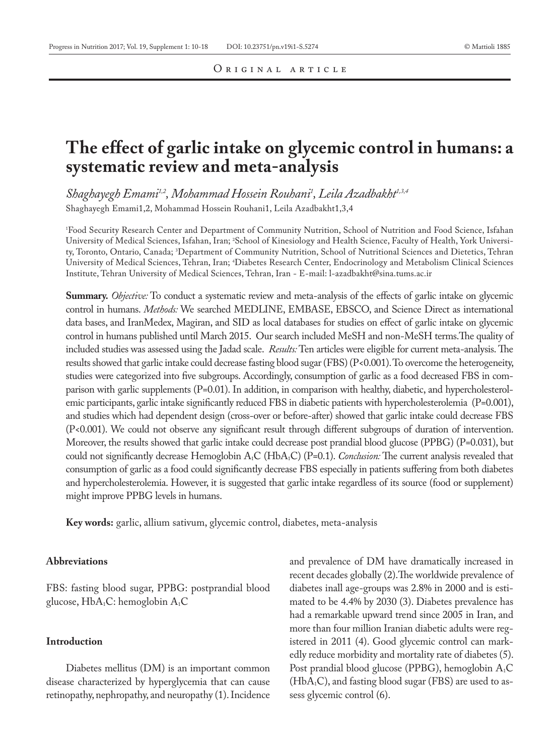# **The effect of garlic intake on glycemic control in humans: a systematic review and meta-analysis**

*Shaghayegh Emami1,2, Mohammad Hossein Rouhani1 , Leila Azadbakht1,3,4* Shaghayegh Emami1,2, Mohammad Hossein Rouhani1, Leila Azadbakht1,3,4

1 Food Security Research Center and Department of Community Nutrition, School of Nutrition and Food Science, Isfahan University of Medical Sciences, Isfahan, Iran; <sup>2</sup>School of Kinesiology and Health Science, Faculty of Health, York University, Toronto, Ontario, Canada; 3 Department of Community Nutrition, School of Nutritional Sciences and Dietetics, Tehran University of Medical Sciences, Tehran, Iran; 4 Diabetes Research Center, Endocrinology and Metabolism Clinical Sciences Institute, Tehran University of Medical Sciences, Tehran, Iran - E-mail: l-azadbakht@sina.tums.ac.ir

**Summary.** *Objective:* To conduct a systematic review and meta-analysis of the effects of garlic intake on glycemic control in humans. *Methods:* We searched MEDLINE, EMBASE, EBSCO, and Science Direct as international data bases, and IranMedex, Magiran, and SID as local databases for studies on effect of garlic intake on glycemic control in humans published until March 2015. Our search included MeSH and non-MeSH terms.The quality of included studies was assessed using the Jadad scale. *Results:* Ten articles were eligible for current meta-analysis. The results showed that garlic intake could decrease fasting blood sugar (FBS) (P<0.001). To overcome the heterogeneity, studies were categorized into five subgroups. Accordingly, consumption of garlic as a food decreased FBS in comparison with garlic supplements (P=0.01). In addition, in comparison with healthy, diabetic, and hypercholesterolemic participants, garlic intake significantly reduced FBS in diabetic patients with hypercholesterolemia (P=0.001), and studies which had dependent design (cross-over or before-after) showed that garlic intake could decrease FBS (P<0.001). We could not observe any significant result through different subgroups of duration of intervention. Moreover, the results showed that garlic intake could decrease post prandial blood glucose (PPBG) (P=0.031), but could not significantly decrease Hemoglobin A<sub>1</sub>C (HbA<sub>1</sub>C) (P=0.1). *Conclusion:* The current analysis revealed that consumption of garlic as a food could significantly decrease FBS especially in patients suffering from both diabetes and hypercholesterolemia. However, it is suggested that garlic intake regardless of its source (food or supplement) might improve PPBG levels in humans.

**Key words:** garlic, allium sativum, glycemic control, diabetes, meta-analysis

# **Abbreviations**

FBS: fasting blood sugar, PPBG: postprandial blood glucose,  $HbA_1C$ : hemoglobin  $A_1C$ 

# **Introduction**

Diabetes mellitus (DM) is an important common disease characterized by hyperglycemia that can cause retinopathy, nephropathy, and neuropathy (1). Incidence and prevalence of DM have dramatically increased in recent decades globally (2).The worldwide prevalence of diabetes inall age-groups was 2.8% in 2000 and is estimated to be 4.4% by 2030 (3). Diabetes prevalence has had a remarkable upward trend since 2005 in Iran, and more than four million Iranian diabetic adults were registered in 2011 (4). Good glycemic control can markedly reduce morbidity and mortality rate of diabetes (5). Post prandial blood glucose (PPBG), hemoglobin A<sub>1</sub>C  $(HbA_1C)$ , and fasting blood sugar (FBS) are used to assess glycemic control (6).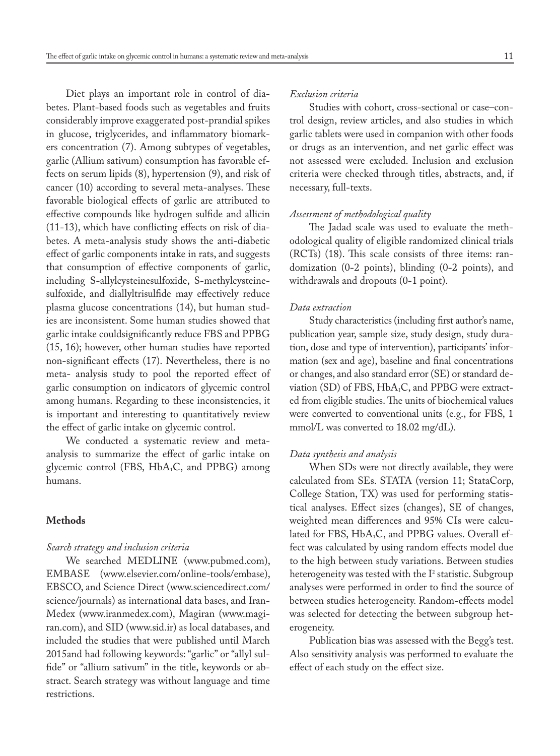Diet plays an important role in control of diabetes. Plant-based foods such as vegetables and fruits considerably improve exaggerated post-prandial spikes in glucose, triglycerides, and inflammatory biomarkers concentration (7). Among subtypes of vegetables, garlic (Allium sativum) consumption has favorable effects on serum lipids (8), hypertension (9), and risk of cancer (10) according to several meta-analyses. These favorable biological effects of garlic are attributed to effective compounds like hydrogen sulfide and allicin (11-13), which have conflicting effects on risk of diabetes. A meta-analysis study shows the anti-diabetic effect of garlic components intake in rats, and suggests that consumption of effective components of garlic, including S-allylcysteinesulfoxide, S-methylcysteinesulfoxide, and diallyltrisulfide may effectively reduce plasma glucose concentrations (14), but human studies are inconsistent. Some human studies showed that garlic intake couldsignificantly reduce FBS and PPBG (15, 16); however, other human studies have reported non-significant effects (17). Nevertheless, there is no meta- analysis study to pool the reported effect of garlic consumption on indicators of glycemic control among humans. Regarding to these inconsistencies, it is important and interesting to quantitatively review the effect of garlic intake on glycemic control.

We conducted a systematic review and metaanalysis to summarize the effect of garlic intake on glycemic control (FBS,  $HbA_1C$ , and PPBG) among humans.

## **Methods**

## *Search strategy and inclusion criteria*

We searched MEDLINE (www.pubmed.com), EMBASE (www.elsevier.com/online-tools/embase), EBSCO, and Science Direct (www.sciencedirect.com/ science/journals) as international data bases, and Iran-Medex (www.iranmedex.com), Magiran (www.magiran.com), and SID (www.sid.ir) as local databases, and included the studies that were published until March 2015and had following keywords: "garlic" or "allyl sulfide" or "allium sativum" in the title, keywords or abstract. Search strategy was without language and time restrictions.

# *Exclusion criteria*

Studies with cohort, cross-sectional or case–control design, review articles, and also studies in which garlic tablets were used in companion with other foods or drugs as an intervention, and net garlic effect was not assessed were excluded. Inclusion and exclusion criteria were checked through titles, abstracts, and, if necessary, full-texts.

## *Assessment of methodological quality*

The Jadad scale was used to evaluate the methodological quality of eligible randomized clinical trials (RCTs) (18). This scale consists of three items: randomization (0-2 points), blinding (0-2 points), and withdrawals and dropouts (0-1 point).

## *Data extraction*

Study characteristics (including first author's name, publication year, sample size, study design, study duration, dose and type of intervention), participants' information (sex and age), baseline and final concentrations or changes, and also standard error (SE) or standard deviation (SD) of FBS, HbA<sub>1</sub>C, and PPBG were extracted from eligible studies. The units of biochemical values were converted to conventional units (e.g., for FBS, 1 mmol/L was converted to 18.02 mg/dL).

#### *Data synthesis and analysis*

When SDs were not directly available, they were calculated from SEs. STATA (version 11; StataCorp, College Station, TX) was used for performing statistical analyses. Effect sizes (changes), SE of changes, weighted mean differences and 95% CIs were calculated for FBS, HbA<sub>1</sub>C, and PPBG values. Overall effect was calculated by using random effects model due to the high between study variations. Between studies heterogeneity was tested with the  $I^2$  statistic. Subgroup analyses were performed in order to find the source of between studies heterogeneity. Random-effects model was selected for detecting the between subgroup heterogeneity.

Publication bias was assessed with the Begg's test. Also sensitivity analysis was performed to evaluate the effect of each study on the effect size.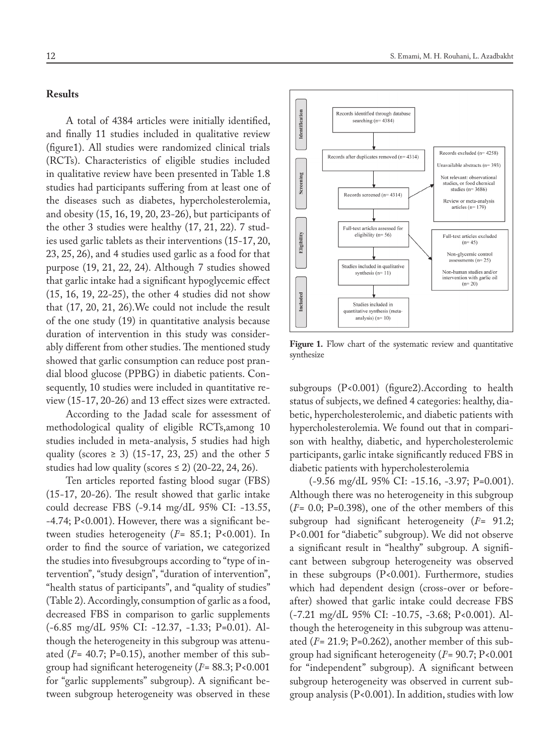# **Results**

A total of 4384 articles were initially identified, and finally 11 studies included in qualitative review (figure1). All studies were randomized clinical trials (RCTs). Characteristics of eligible studies included in qualitative review have been presented in Table 1.8 studies had participants suffering from at least one of the diseases such as diabetes, hypercholesterolemia, and obesity (15, 16, 19, 20, 23-26), but participants of the other 3 studies were healthy (17, 21, 22). 7 studies used garlic tablets as their interventions (15-17, 20, 23, 25, 26), and 4 studies used garlic as a food for that purpose (19, 21, 22, 24). Although 7 studies showed that garlic intake had a significant hypoglycemic effect (15, 16, 19, 22-25), the other 4 studies did not show that (17, 20, 21, 26).We could not include the result of the one study (19) in quantitative analysis because duration of intervention in this study was considerably different from other studies. The mentioned study showed that garlic consumption can reduce post prandial blood glucose (PPBG) in diabetic patients. Consequently, 10 studies were included in quantitative review (15-17, 20-26) and 13 effect sizes were extracted.

According to the Jadad scale for assessment of methodological quality of eligible RCTs,among 10 studies included in meta-analysis, 5 studies had high quality (scores  $\geq$  3) (15-17, 23, 25) and the other 5 studies had low quality (scores  $\leq$  2) (20-22, 24, 26).

Ten articles reported fasting blood sugar (FBS) (15-17, 20-26). The result showed that garlic intake could decrease FBS (-9.14 mg/dL 95% CI: -13.55, -4.74; P<0.001). However, there was a significant between studies heterogeneity (*I2* = 85.1; P<0.001). In order to find the source of variation, we categorized the studies into fivesubgroups according to "type of intervention", "study design", "duration of intervention", "health status of participants", and "quality of studies" (Table 2). Accordingly, consumption of garlic as a food, decreased FBS in comparison to garlic supplements (-6.85 mg/dL 95% CI: -12.37, -1.33; P=0.01). Although the heterogeneity in this subgroup was attenuated (*I2* = 40.7; P=0.15), another member of this subgroup had significant heterogeneity (*I2* = 88.3; P<0.001 for "garlic supplements" subgroup). A significant between subgroup heterogeneity was observed in these



Figure 1. Flow chart of the systematic review and quantitative synthesize

subgroups (P<0.001) (figure2).According to health status of subjects, we defined 4 categories: healthy, diabetic, hypercholesterolemic, and diabetic patients with hypercholesterolemia. We found out that in comparison with healthy, diabetic, and hypercholesterolemic participants, garlic intake significantly reduced FBS in diabetic patients with hypercholesterolemia

(-9.56 mg/dL 95% CI: -15.16, -3.97; P=0.001). Although there was no heterogeneity in this subgroup  $(I^2 = 0.0; P=0.398)$ , one of the other members of this subgroup had significant heterogeneity (P= 91.2; P<0.001 for "diabetic" subgroup). We did not observe a significant result in "healthy" subgroup. A significant between subgroup heterogeneity was observed in these subgroups (P<0.001). Furthermore, studies which had dependent design (cross-over or beforeafter) showed that garlic intake could decrease FBS (-7.21 mg/dL 95% CI: -10.75, -3.68; P<0.001). Although the heterogeneity in this subgroup was attenuated (*I2* = 21.9; P=0.262), another member of this subgroup had significant heterogeneity (*I2* = 90.7; P<0.001 for "independent" subgroup). A significant between subgroup heterogeneity was observed in current subgroup analysis (P<0.001). In addition, studies with low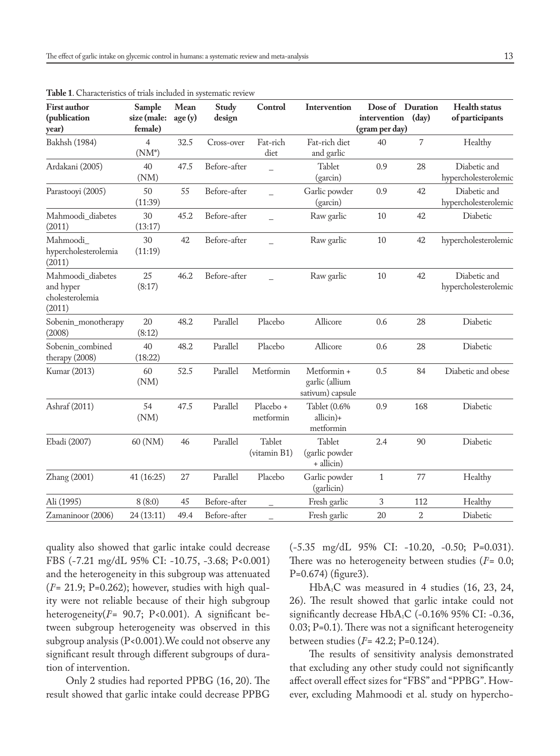| <b>First author</b><br>(publication<br>year)                | Sample<br>size (male:<br>female) | Mean<br>age(y) | Study<br>design | Control                | Intervention                                      | intervention<br>(gram per day) | Dose of Duration<br>(dav) | Health status<br>of participants     |
|-------------------------------------------------------------|----------------------------------|----------------|-----------------|------------------------|---------------------------------------------------|--------------------------------|---------------------------|--------------------------------------|
| <b>Bakhsh</b> (1984)                                        | $\overline{4}$<br>$(NM^*)$       | 32.5           | Cross-over      | Fat-rich<br>diet       | Fat-rich diet<br>and garlic                       | 40                             | 7                         | Healthy                              |
| Ardakani (2005)                                             | 40<br>(NM)                       | 47.5           | Before-after    | $\overline{a}$         | Tablet<br>(garcin)                                | 0.9                            | 28                        | Diabetic and<br>hypercholesterolemic |
| Parastooyi (2005)                                           | 50<br>(11:39)                    | 55             | Before-after    |                        | Garlic powder<br>(garcin)                         | 0.9                            | 42                        | Diabetic and<br>hypercholesterolemic |
| Mahmoodi_diabetes<br>(2011)                                 | 30<br>(13:17)                    | 45.2           | Before-after    |                        | Raw garlic                                        | 10                             | 42                        | Diabetic                             |
| Mahmoodi<br>hypercholesterolemia<br>(2011)                  | 30<br>(11:19)                    | 42             | Before-after    |                        | Raw garlic                                        | 10                             | 42                        | hypercholesterolemic                 |
| Mahmoodi_diabetes<br>and hyper<br>cholesterolemia<br>(2011) | 25<br>(8:17)                     | 46.2           | Before-after    |                        | Raw garlic                                        | 10<br>42                       |                           | Diabetic and<br>hypercholesterolemic |
| Sobenin_monotherapy<br>(2008)                               | 20<br>(8:12)                     | 48.2           | Parallel        | Placebo                | Allicore                                          | 0.6                            | 28                        | Diabetic                             |
| Sobenin_combined<br>therapy (2008)                          | 40<br>(18:22)                    | 48.2           | Parallel        | Placebo                | Allicore                                          | 0.6                            | 28                        | Diabetic                             |
| Kumar (2013)                                                | 60<br>(NM)                       | 52.5           | Parallel        | Metformin              | Metformin +<br>garlic (allium<br>sativum) capsule | 0.5                            | 84                        | Diabetic and obese                   |
| Ashraf (2011)                                               | 54<br>(NM)                       | 47.5           | Parallel        | Placebo +<br>metformin | Tablet (0.6%<br>allicin)+<br>metformin            | 0.9                            | 168                       | Diabetic                             |
| Ebadi (2007)                                                | 60 (NM)                          | 46             | Parallel        | Tablet<br>(vitamin B1) | Tablet<br>(garlic powder<br>+ allicin)            | 2.4                            | 90                        | Diabetic                             |
| Zhang (2001)                                                | 41 (16:25)                       | 27             | Parallel        | Placebo                | Garlic powder<br>(garlicin)                       | $\mathbf{1}$                   | 77                        | Healthy                              |
| Ali (1995)                                                  | 8(8:0)                           | 45             | Before-after    |                        | Fresh garlic                                      | 3                              | 112                       | Healthy                              |
| Zamaninoor (2006)                                           | 24(13:11)                        | 49.4           | Before-after    |                        | Fresh garlic                                      | 20                             | $\overline{2}$            | Diabetic                             |

**Table 1**. Characteristics of trials included in systematic review

quality also showed that garlic intake could decrease FBS (-7.21 mg/dL 95% CI: -10.75, -3.68; P<0.001) and the heterogeneity in this subgroup was attenuated (*I2* = 21.9; P=0.262); however, studies with high quality were not reliable because of their high subgroup heterogeneity(*I2* = 90.7; P<0.001). A significant between subgroup heterogeneity was observed in this subgroup analysis (P<0.001).We could not observe any significant result through different subgroups of duration of intervention.

Only 2 studies had reported PPBG (16, 20). The result showed that garlic intake could decrease PPBG

(-5.35 mg/dL 95% CI: -10.20, -0.50; P=0.031). There was no heterogeneity between studies (*I*<sup>2</sup>= 0.0; P=0.674) (figure3).

HbA1C was measured in 4 studies (16, 23, 24, 26). The result showed that garlic intake could not significantly decrease HbA<sub>1</sub>C (-0.16% 95% CI: -0.36, 0.03; P=0.1). There was not a significant heterogeneity between studies (*I2* = 42.2; P=0.124).

The results of sensitivity analysis demonstrated that excluding any other study could not significantly affect overall effect sizes for "FBS" and "PPBG". However, excluding Mahmoodi et al. study on hypercho-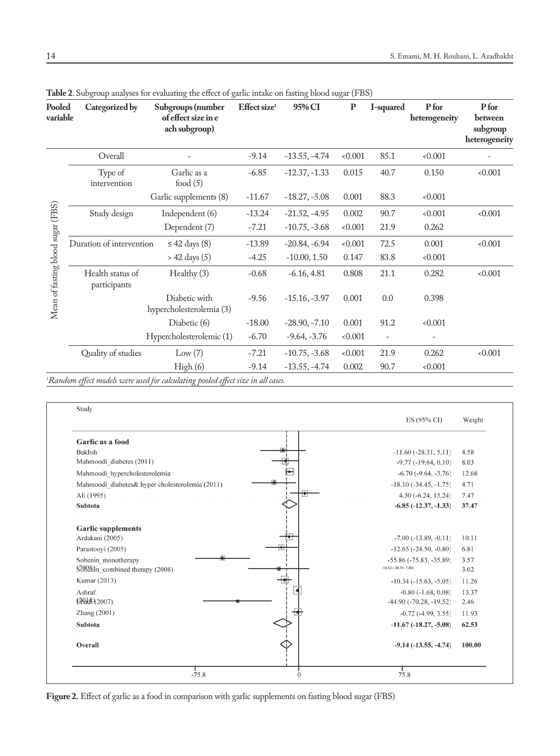| Pooled<br>variable                | Categorized by                   | Subgroups (number<br>of effect size in e<br>ach subgroup) | Effect size <sup>1</sup> | 95% CI          | P     | I-squared                | P for<br>heterogeneity | P for<br>between<br>subgroup<br>heterogeneity |
|-----------------------------------|----------------------------------|-----------------------------------------------------------|--------------------------|-----------------|-------|--------------------------|------------------------|-----------------------------------------------|
|                                   | Overall                          |                                                           | $-9.14$                  | $-13.55, -4.74$ | 0.001 | 85.1                     | < 0.001                |                                               |
|                                   | Type of<br>intervention          | Garlic as a<br>food $(5)$                                 | $-6.85$                  | $-12.37, -1.33$ | 0.015 | 40.7                     | 0.150                  | < 0.001                                       |
|                                   |                                  | Garlic supplements (8)                                    | $-11.67$                 | $-18.27, -5.08$ | 0.001 | 88.3                     | < 0.001                |                                               |
| Mean of fasting blood sugar (FBS) | Study design                     | Independent (6)                                           | $-13.24$                 | $-21.52, -4.95$ | 0.002 | 90.7                     | < 0.001                | 0.001                                         |
|                                   |                                  | Dependent (7)                                             | $-7.21$                  | $-10.75, -3.68$ | 0.001 | 21.9                     | 0.262                  |                                               |
|                                   | Duration of intervention         | $\leq$ 42 days (8)                                        | $-13.89$                 | $-20.84, -6.94$ | 0.001 | 72.5                     | 0.001                  | < 0.001                                       |
|                                   |                                  | $> 42 \text{ days} (5)$                                   | $-4.25$                  | $-10.00, 1.50$  | 0.147 | 83.8                     | < 0.001                |                                               |
|                                   | Health status of<br>participants | Healthy (3)                                               | $-0.68$                  | $-6.16, 4.81$   | 0.808 | 21.1                     | 0.282                  | < 0.001                                       |
|                                   |                                  | Diabetic with<br>hypercholesterolemia (3)                 | $-9.56$                  | $-15.16, -3.97$ | 0.001 | 0.0                      | 0.398                  |                                               |
|                                   |                                  | Diabetic (6)                                              | $-18.00$                 | $-28.90, -7.10$ | 0.001 | 91.2                     | < 0.001                |                                               |
|                                   |                                  | Hypercholesterolemic (1)                                  | $-6.70$                  | $-9.64, -3.76$  | 0.001 | $\overline{\phantom{0}}$ |                        |                                               |
|                                   | Quality of studies               | Low(7)                                                    | $-7.21$                  | $-10.75, -3.68$ | 0.001 | 21.9                     | 0.262                  | 0.001                                         |
|                                   |                                  | High(6)                                                   | $-9.14$                  | $-13.55, -4.74$ | 0.002 | 90.7                     | < 0.001                |                                               |
|                                   |                                  |                                                           |                          |                 |       |                          |                        |                                               |

**Table 2**. Subgroup analyses for evaluating the effect of garlic intake on fasting blood sugar (FBS)

*1 Random effect models were used for calculating pooled effect size in all cases.*

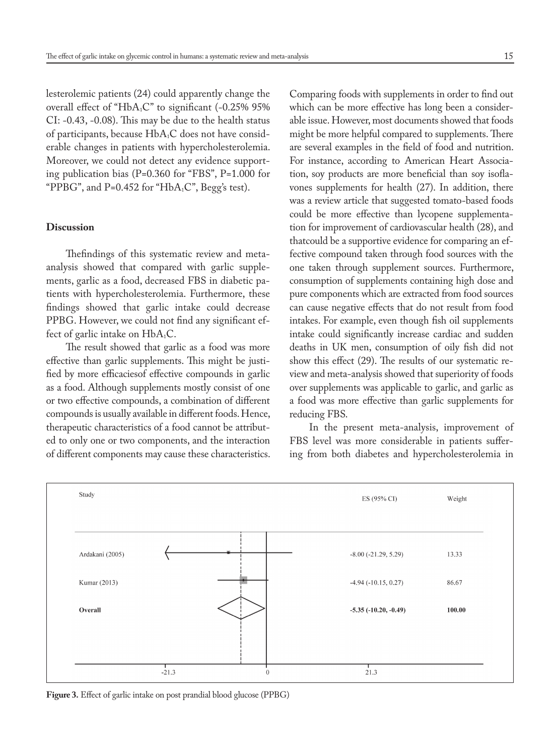lesterolemic patients (24) could apparently change the overall effect of "HbA<sub>1</sub>C" to significant (-0.25% 95%) CI: -0.43, -0.08). This may be due to the health status of participants, because HbA<sub>1</sub>C does not have considerable changes in patients with hypercholesterolemia. Moreover, we could not detect any evidence supporting publication bias (P=0.360 for "FBS", P=1.000 for "PPBG", and P=0.452 for "HbA<sub>1</sub>C", Begg's test).

## **Discussion**

Thefindings of this systematic review and metaanalysis showed that compared with garlic supplements, garlic as a food, decreased FBS in diabetic patients with hypercholesterolemia. Furthermore, these findings showed that garlic intake could decrease PPBG. However, we could not find any significant effect of garlic intake on  $HbA_1C$ .

The result showed that garlic as a food was more effective than garlic supplements. This might be justified by more efficaciesof effective compounds in garlic as a food. Although supplements mostly consist of one or two effective compounds, a combination of different compounds is usually available in different foods. Hence, therapeutic characteristics of a food cannot be attributed to only one or two components, and the interaction of different components may cause these characteristics.

Comparing foods with supplements in order to find out which can be more effective has long been a considerable issue. However, most documents showed that foods might be more helpful compared to supplements. There are several examples in the field of food and nutrition. For instance, according to American Heart Association, soy products are more beneficial than soy isoflavones supplements for health (27). In addition, there was a review article that suggested tomato-based foods could be more effective than lycopene supplementation for improvement of cardiovascular health (28), and thatcould be a supportive evidence for comparing an effective compound taken through food sources with the one taken through supplement sources. Furthermore, consumption of supplements containing high dose and pure components which are extracted from food sources can cause negative effects that do not result from food intakes. For example, even though fish oil supplements intake could significantly increase cardiac and sudden deaths in UK men, consumption of oily fish did not show this effect (29). The results of our systematic review and meta-analysis showed that superiority of foods over supplements was applicable to garlic, and garlic as a food was more effective than garlic supplements for reducing FBS.

In the present meta-analysis, improvement of FBS level was more considerable in patients suffering from both diabetes and hypercholesterolemia in



**Figure 3.** Effect of garlic intake on post prandial blood glucose (PPBG)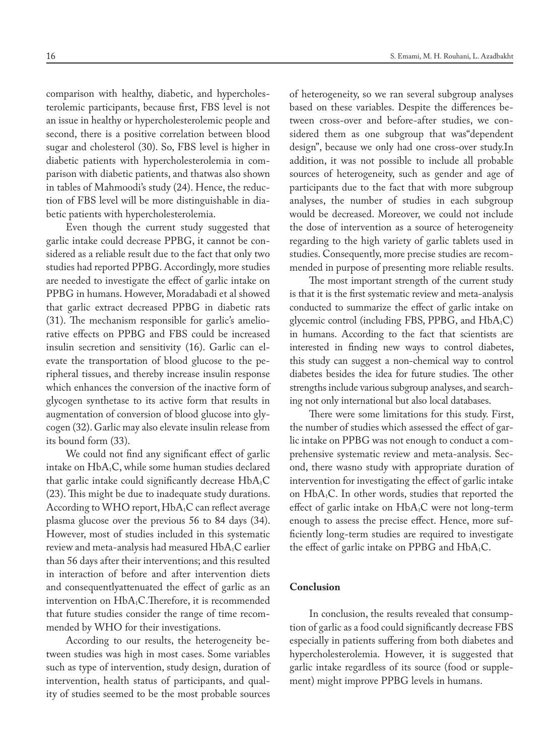comparison with healthy, diabetic, and hypercholesterolemic participants, because first, FBS level is not an issue in healthy or hypercholesterolemic people and second, there is a positive correlation between blood sugar and cholesterol (30). So, FBS level is higher in diabetic patients with hypercholesterolemia in comparison with diabetic patients, and thatwas also shown in tables of Mahmoodi's study (24). Hence, the reduction of FBS level will be more distinguishable in diabetic patients with hypercholesterolemia.

Even though the current study suggested that garlic intake could decrease PPBG, it cannot be considered as a reliable result due to the fact that only two studies had reported PPBG. Accordingly, more studies are needed to investigate the effect of garlic intake on PPBG in humans. However, Moradabadi et al showed that garlic extract decreased PPBG in diabetic rats (31). The mechanism responsible for garlic's ameliorative effects on PPBG and FBS could be increased insulin secretion and sensitivity (16). Garlic can elevate the transportation of blood glucose to the peripheral tissues, and thereby increase insulin response which enhances the conversion of the inactive form of glycogen synthetase to its active form that results in augmentation of conversion of blood glucose into glycogen (32). Garlic may also elevate insulin release from its bound form (33).

We could not find any significant effect of garlic intake on HbA<sub>1</sub>C, while some human studies declared that garlic intake could significantly decrease  $HbA_1C$ (23). This might be due to inadequate study durations. According to WHO report,  $HbA_1C$  can reflect average plasma glucose over the previous 56 to 84 days (34). However, most of studies included in this systematic review and meta-analysis had measured HbA<sub>1</sub>C earlier than 56 days after their interventions; and this resulted in interaction of before and after intervention diets and consequentlyattenuated the effect of garlic as an intervention on HbA<sub>1</sub>C.Therefore, it is recommended that future studies consider the range of time recommended by WHO for their investigations.

According to our results, the heterogeneity between studies was high in most cases. Some variables such as type of intervention, study design, duration of intervention, health status of participants, and quality of studies seemed to be the most probable sources

of heterogeneity, so we ran several subgroup analyses based on these variables. Despite the differences between cross-over and before-after studies, we considered them as one subgroup that was"dependent design", because we only had one cross-over study.In addition, it was not possible to include all probable sources of heterogeneity, such as gender and age of participants due to the fact that with more subgroup analyses, the number of studies in each subgroup would be decreased. Moreover, we could not include the dose of intervention as a source of heterogeneity regarding to the high variety of garlic tablets used in studies. Consequently, more precise studies are recommended in purpose of presenting more reliable results.

The most important strength of the current study is that it is the first systematic review and meta-analysis conducted to summarize the effect of garlic intake on glycemic control (including FBS, PPBG, and HbA<sub>1</sub>C) in humans. According to the fact that scientists are interested in finding new ways to control diabetes, this study can suggest a non-chemical way to control diabetes besides the idea for future studies. The other strengths include various subgroup analyses, and searching not only international but also local databases.

There were some limitations for this study. First, the number of studies which assessed the effect of garlic intake on PPBG was not enough to conduct a comprehensive systematic review and meta-analysis. Second, there wasno study with appropriate duration of intervention for investigating the effect of garlic intake on HbA1C. In other words, studies that reported the effect of garlic intake on  $HbA_1C$  were not long-term enough to assess the precise effect. Hence, more sufficiently long-term studies are required to investigate the effect of garlic intake on PPBG and  $HbA_1C$ .

# **Conclusion**

In conclusion, the results revealed that consumption of garlic as a food could significantly decrease FBS especially in patients suffering from both diabetes and hypercholesterolemia. However, it is suggested that garlic intake regardless of its source (food or supplement) might improve PPBG levels in humans.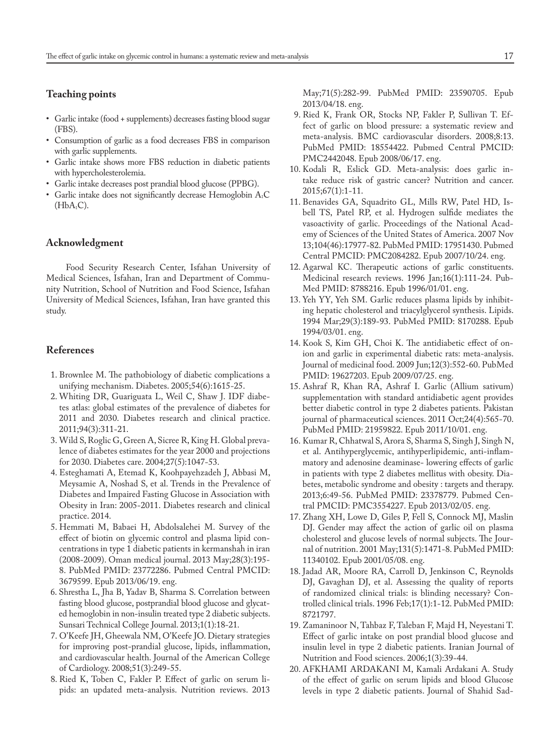# **Teaching points**

- • Garlic intake (food + supplements) decreases fasting blood sugar (FBS).
- • Consumption of garlic as a food decreases FBS in comparison with garlic supplements.
- • Garlic intake shows more FBS reduction in diabetic patients with hypercholesterolemia.
- • Garlic intake decreases post prandial blood glucose (PPBG).
- Garlic intake does not significantly decrease Hemoglobin  $A_1C$  $(HbA<sub>1</sub>C).$

## **Acknowledgment**

Food Security Research Center, Isfahan University of Medical Sciences, Isfahan, Iran and Department of Community Nutrition, School of Nutrition and Food Science, Isfahan University of Medical Sciences, Isfahan, Iran have granted this study.

# **References**

- 1. Brownlee M. The pathobiology of diabetic complications a unifying mechanism. Diabetes. 2005;54(6):1615-25.
- 2. Whiting DR, Guariguata L, Weil C, Shaw J. IDF diabetes atlas: global estimates of the prevalence of diabetes for 2011 and 2030. Diabetes research and clinical practice. 2011;94(3):311-21.
- 3. Wild S, Roglic G, Green A, Sicree R, King H. Global prevalence of diabetes estimates for the year 2000 and projections for 2030. Diabetes care. 2004;27(5):1047-53.
- 4. Esteghamati A, Etemad K, Koohpayehzadeh J, Abbasi M, Meysamie A, Noshad S, et al. Trends in the Prevalence of Diabetes and Impaired Fasting Glucose in Association with Obesity in Iran: 2005-2011. Diabetes research and clinical practice. 2014.
- 5. Hemmati M, Babaei H, Abdolsalehei M. Survey of the effect of biotin on glycemic control and plasma lipid concentrations in type 1 diabetic patients in kermanshah in iran (2008-2009). Oman medical journal. 2013 May;28(3):195- 8. PubMed PMID: 23772286. Pubmed Central PMCID: 3679599. Epub 2013/06/19. eng.
- 6. Shrestha L, Jha B, Yadav B, Sharma S. Correlation between fasting blood glucose, postprandial blood glucose and glycated hemoglobin in non-insulin treated type 2 diabetic subjects. Sunsari Technical College Journal. 2013;1(1):18-21.
- 7. O'Keefe JH, Gheewala NM, O'Keefe JO. Dietary strategies for improving post-prandial glucose, lipids, inflammation, and cardiovascular health. Journal of the American College of Cardiology. 2008;51(3):249-55.
- 8. Ried K, Toben C, Fakler P. Effect of garlic on serum lipids: an updated meta-analysis. Nutrition reviews. 2013

May;71(5):282-99. PubMed PMID: 23590705. Epub 2013/04/18. eng.

- 9. Ried K, Frank OR, Stocks NP, Fakler P, Sullivan T. Effect of garlic on blood pressure: a systematic review and meta-analysis. BMC cardiovascular disorders. 2008;8:13. PubMed PMID: 18554422. Pubmed Central PMCID: PMC2442048. Epub 2008/06/17. eng.
- 10. Kodali R, Eslick GD. Meta-analysis: does garlic intake reduce risk of gastric cancer? Nutrition and cancer. 2015;67(1):1-11.
- 11. Benavides GA, Squadrito GL, Mills RW, Patel HD, Isbell TS, Patel RP, et al. Hydrogen sulfide mediates the vasoactivity of garlic. Proceedings of the National Academy of Sciences of the United States of America. 2007 Nov 13;104(46):17977-82. PubMed PMID: 17951430. Pubmed Central PMCID: PMC2084282. Epub 2007/10/24. eng.
- 12. Agarwal KC. Therapeutic actions of garlic constituents. Medicinal research reviews. 1996 Jan;16(1):111-24. Pub-Med PMID: 8788216. Epub 1996/01/01. eng.
- 13. Yeh YY, Yeh SM. Garlic reduces plasma lipids by inhibiting hepatic cholesterol and triacylglycerol synthesis. Lipids. 1994 Mar;29(3):189-93. PubMed PMID: 8170288. Epub 1994/03/01. eng.
- 14. Kook S, Kim GH, Choi K. The antidiabetic effect of onion and garlic in experimental diabetic rats: meta-analysis. Journal of medicinal food. 2009 Jun;12(3):552-60. PubMed PMID: 19627203. Epub 2009/07/25. eng.
- 15. Ashraf R, Khan RA, Ashraf I. Garlic (Allium sativum) supplementation with standard antidiabetic agent provides better diabetic control in type 2 diabetes patients. Pakistan journal of pharmaceutical sciences. 2011 Oct;24(4):565-70. PubMed PMID: 21959822. Epub 2011/10/01. eng.
- 16. Kumar R, Chhatwal S, Arora S, Sharma S, Singh J, Singh N, et al. Antihyperglycemic, antihyperlipidemic, anti-inflammatory and adenosine deaminase- lowering effects of garlic in patients with type 2 diabetes mellitus with obesity. Diabetes, metabolic syndrome and obesity : targets and therapy. 2013;6:49-56. PubMed PMID: 23378779. Pubmed Central PMCID: PMC3554227. Epub 2013/02/05. eng.
- 17. Zhang XH, Lowe D, Giles P, Fell S, Connock MJ, Maslin DJ. Gender may affect the action of garlic oil on plasma cholesterol and glucose levels of normal subjects. The Journal of nutrition. 2001 May;131(5):1471-8. PubMed PMID: 11340102. Epub 2001/05/08. eng.
- 18. Jadad AR, Moore RA, Carroll D, Jenkinson C, Reynolds DJ, Gavaghan DJ, et al. Assessing the quality of reports of randomized clinical trials: is blinding necessary? Controlled clinical trials. 1996 Feb;17(1):1-12. PubMed PMID: 8721797.
- 19. Zamaninoor N, Tahbaz F, Taleban F, Majd H, Neyestani T. Effect of garlic intake on post prandial blood glucose and insulin level in type 2 diabetic patients. Iranian Journal of Nutrition and Food sciences. 2006;1(3):39-44.
- 20. AFKHAMI ARDAKANI M, Kamali Ardakani A. Study of the effect of garlic on serum lipids and blood Glucose levels in type 2 diabetic patients. Journal of Shahid Sad-